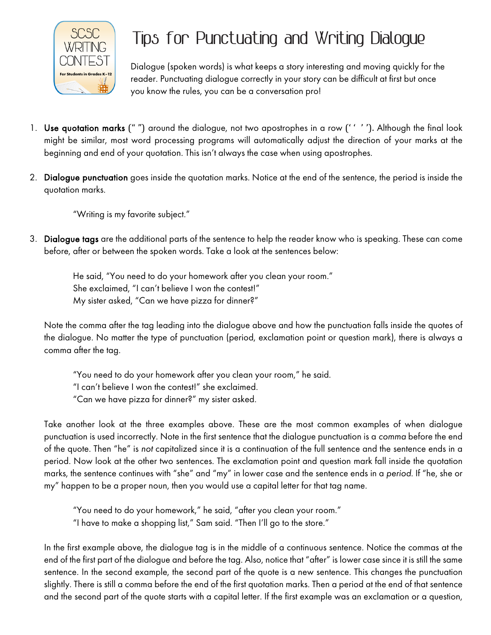

## **Tips for Punctuating and Writing Dialogue**

Dialogue (spoken words) is what keeps a story interesting and moving quickly for the reader. Punctuating dialogue correctly in your story can be difficult at first but once you know the rules, you can be a conversation pro!

- 1. Use quotation marks (" ") around the dialogue, not two apostrophes in a row ('' ''). Although the final look might be similar, most word processing programs will automatically adjust the direction of your marks at the beginning and end of your quotation. This isn't always the case when using apostrophes.
- 2. Dialogue punctuation goes inside the quotation marks. Notice at the end of the sentence, the period is inside the quotation marks.

"Writing is my favorite subject."

3. Dialogue tags are the additional parts of the sentence to help the reader know who is speaking. These can come before, after or between the spoken words. Take a look at the sentences below:

He said, "You need to do your homework after you clean your room." She exclaimed, "I can't believe I won the contest!" My sister asked, "Can we have pizza for dinner?"

Note the comma after the tag leading into the dialogue above and how the punctuation falls inside the quotes of the dialogue. No matter the type of punctuation (period, exclamation point or question mark), there is always a comma after the tag.

"You need to do your homework after you clean your room," he said. "I can't believe I won the contest!" she exclaimed. "Can we have pizza for dinner?" my sister asked.

Take another look at the three examples above. These are the most common examples of when dialogue punctuation is used incorrectly. Note in the first sentence that the dialogue punctuation is a *comma* before the end of the quote. Then "he" is *not* capitalized since it is a continuation of the full sentence and the sentence ends in a period. Now look at the other two sentences. The exclamation point and question mark fall inside the quotation marks, the sentence continues with "she" and "my" in lower case and the sentence ends in a *period*. If "he, she or my" happen to be a proper noun, then you would use a capital letter for that tag name.

"You need to do your homework," he said, "after you clean your room." "I have to make a shopping list," Sam said. "Then I'll go to the store."

In the first example above, the dialogue tag is in the middle of a continuous sentence. Notice the commas at the end of the first part of the dialogue and before the tag. Also, notice that "after" is lower case since it is still the same sentence. In the second example, the second part of the quote is a new sentence. This changes the punctuation slightly. There is still a comma before the end of the first quotation marks. Then a period at the end of that sentence and the second part of the quote starts with a capital letter. If the first example was an exclamation or a question,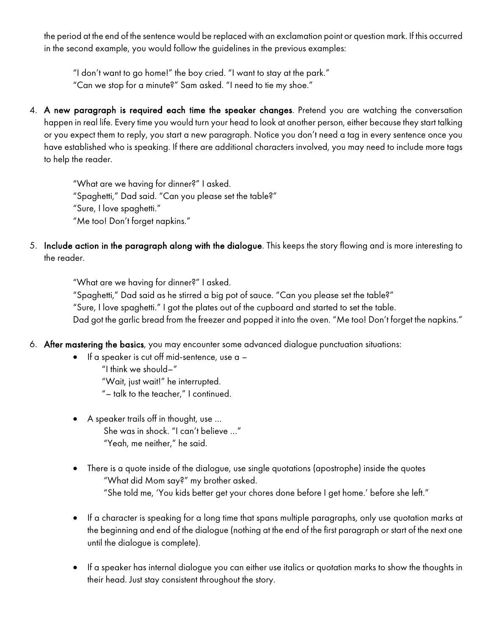the period at the end of the sentence would be replaced with an exclamation point or question mark. If this occurred in the second example, you would follow the guidelines in the previous examples:

"I don't want to go home!" the boy cried. "I want to stay at the park."

"Can we stop for a minute?" Sam asked. "I need to tie my shoe."

4. A new paragraph is required each time the speaker changes. Pretend you are watching the conversation happen in real life. Every time you would turn your head to look at another person, either because they start talking or you expect them to reply, you start a new paragraph. Notice you don't need a tag in every sentence once you have established who is speaking. If there are additional characters involved, you may need to include more tags to help the reader.

"What are we having for dinner?" I asked.

"Spaghetti," Dad said. "Can you please set the table?"

"Sure, I love spaghetti."

"Me too! Don't forget napkins."

5. Include action in the paragraph along with the dialogue. This keeps the story flowing and is more interesting to the reader.

"What are we having for dinner?" I asked.

"Spaghetti," Dad said as he stirred a big pot of sauce. "Can you please set the table?" "Sure, I love spaghetti." I got the plates out of the cupboard and started to set the table. Dad got the garlic bread from the freezer and popped it into the oven. "Me too! Don't forget the napkins."

- 6. After mastering the basics, you may encounter some advanced dialogue punctuation situations:
	- $\bullet$  If a speaker is cut off mid-sentence, use a  $-$ 
		- "I think we should–" "Wait, just wait!" he interrupted. "– talk to the teacher," I continued.
	- A speaker trails off in thought, use … She was in shock. "I can't believe …" "Yeah, me neither," he said.
	- There is a quote inside of the dialogue, use single quotations (apostrophe) inside the quotes "What did Mom say?" my brother asked. "She told me, 'You kids better get your chores done before I get home.' before she left."
	- If a character is speaking for a long time that spans multiple paragraphs, only use quotation marks at the beginning and end of the dialogue (nothing at the end of the first paragraph or start of the next one until the dialogue is complete).
	- If a speaker has internal dialogue you can either use italics or quotation marks to show the thoughts in their head. Just stay consistent throughout the story.